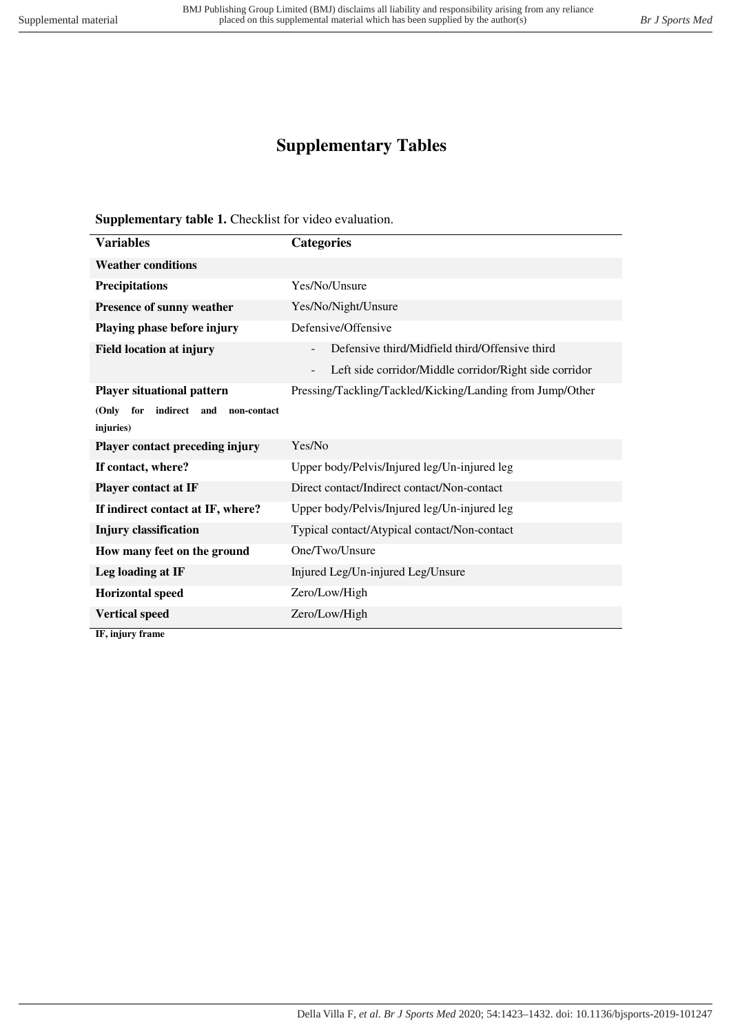## **Supplementary Tables**

**Supplementary table 1.** Checklist for video evaluation.

| <b>Variables</b>                         | <b>Categories</b>                                         |
|------------------------------------------|-----------------------------------------------------------|
| <b>Weather conditions</b>                |                                                           |
| <b>Precipitations</b>                    | Yes/No/Unsure                                             |
| Presence of sunny weather                | Yes/No/Night/Unsure                                       |
| Playing phase before injury              | Defensive/Offensive                                       |
| <b>Field location at injury</b>          | Defensive third/Midfield third/Offensive third            |
|                                          | Left side corridor/Middle corridor/Right side corridor    |
| <b>Player situational pattern</b>        | Pressing/Tackling/Tackled/Kicking/Landing from Jump/Other |
| for indirect and<br>(Only<br>non-contact |                                                           |
| injuries)                                |                                                           |
| Player contact preceding injury          | Yes/No                                                    |
| If contact, where?                       | Upper body/Pelvis/Injured leg/Un-injured leg              |
| Player contact at IF                     | Direct contact/Indirect contact/Non-contact               |
| If indirect contact at IF, where?        | Upper body/Pelvis/Injured leg/Un-injured leg              |
| <b>Injury classification</b>             | Typical contact/Atypical contact/Non-contact              |
| How many feet on the ground              | One/Two/Unsure                                            |
| Leg loading at IF                        | Injured Leg/Un-injured Leg/Unsure                         |
| <b>Horizontal speed</b>                  | Zero/Low/High                                             |
| <b>Vertical speed</b>                    | Zero/Low/High                                             |

**IF, injury frame**